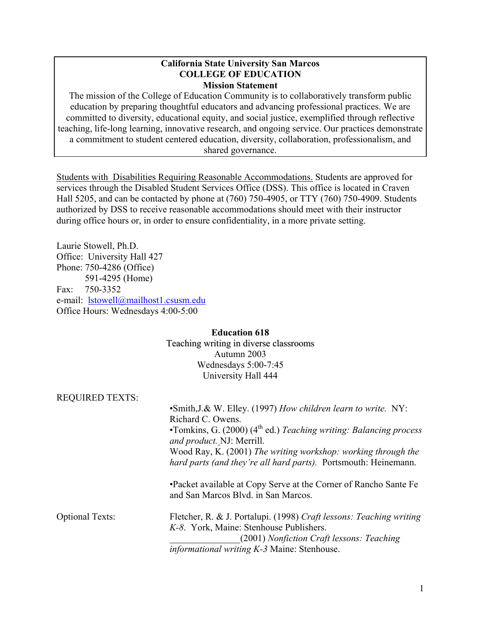#### **California State University San Marcos COLLEGE OF EDUCATION Mission Statement**

The mission of the College of Education Community is to collaboratively transform public education by preparing thoughtful educators and advancing professional practices. We are committed to diversity, educational equity, and social justice, exemplified through reflective teaching, life-long learning, innovative research, and ongoing service. Our practices demonstrate a commitment to student centered education, diversity, collaboration, professionalism, and shared governance.

Students with Disabilities Requiring Reasonable Accommodations. Students are approved for services through the Disabled Student Services Office (DSS). This office is located in Craven Hall 5205, and can be contacted by phone at (760) 750-4905, or TTY (760) 750-4909. Students authorized by DSS to receive reasonable accommodations should meet with their instructor during office hours or, in order to ensure confidentiality, in a more private setting.

Laurie Stowell, Ph.D. Office: University Hall 427 Phone: 750-4286 (Office) 591-4295 (Home) Fax: 750-3352 e-mail: lstowell@mailhost1.csusm.edu Office Hours: Wednesdays 4:00-5:00

### **Education 618** Teaching writing in diverse classrooms Autumn 2003 Wednesdays 5:00-7:45 University Hall 444

| <b>REQUIRED TEXTS:</b> |                                                                                                              |
|------------------------|--------------------------------------------------------------------------------------------------------------|
|                        | • Smith, J.& W. Elley. (1997) How children learn to write. NY:                                               |
|                        | Richard C. Owens.                                                                                            |
|                        | •Tomkins, G. $(2000)$ (4 <sup>th</sup> ed.) Teaching writing: Balancing process<br>and product. NJ: Merrill. |
|                        | Wood Ray, K. (2001) The writing workshop: working through the                                                |
|                        | hard parts (and they're all hard parts). Portsmouth: Heinemann.                                              |
|                        | •Packet available at Copy Serve at the Corner of Rancho Sante Fe<br>and San Marcos Blvd. in San Marcos.      |
| <b>Optional Texts:</b> | Fletcher, R. & J. Portalupi. (1998) Craft lessons: Teaching writing                                          |
|                        | K-8. York, Maine: Stenhouse Publishers.                                                                      |
|                        | (2001) Nonfiction Craft lessons: Teaching                                                                    |
|                        | <i>informational writing K-3 Maine: Stenhouse.</i>                                                           |
|                        |                                                                                                              |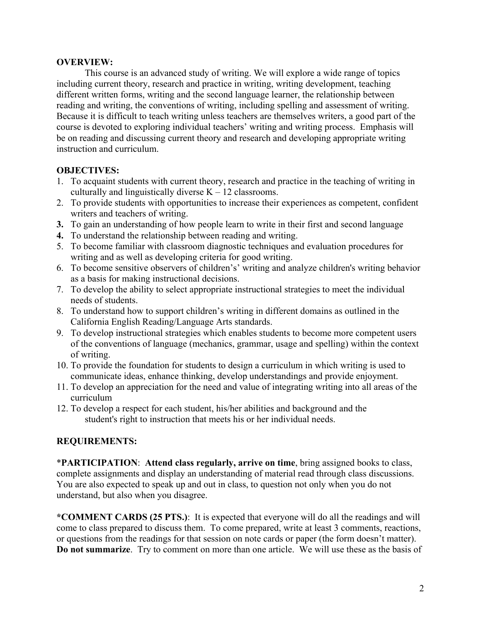### **OVERVIEW:**

 This course is an advanced study of writing. We will explore a wide range of topics including current theory, research and practice in writing, writing development, teaching different written forms, writing and the second language learner, the relationship between reading and writing, the conventions of writing, including spelling and assessment of writing. Because it is difficult to teach writing unless teachers are themselves writers, a good part of the course is devoted to exploring individual teachers' writing and writing process. Emphasis will be on reading and discussing current theory and research and developing appropriate writing instruction and curriculum.

## **OBJECTIVES:**

- 1. To acquaint students with current theory, research and practice in the teaching of writing in culturally and linguistically diverse  $K - 12$  classrooms.
- 2. To provide students with opportunities to increase their experiences as competent, confident writers and teachers of writing.
- **3.** To gain an understanding of how people learn to write in their first and second language
- **4.** To understand the relationship between reading and writing.
- 5. To become familiar with classroom diagnostic techniques and evaluation procedures for writing and as well as developing criteria for good writing.
- 6. To become sensitive observers of children's' writing and analyze children's writing behavior as a basis for making instructional decisions.
- 7. To develop the ability to select appropriate instructional strategies to meet the individual needs of students.
- 8. To understand how to support children's writing in different domains as outlined in the California English Reading/Language Arts standards.
- 9. To develop instructional strategies which enables students to become more competent users of the conventions of language (mechanics, grammar, usage and spelling) within the context of writing.
- 10. To provide the foundation for students to design a curriculum in which writing is used to communicate ideas, enhance thinking, develop understandings and provide enjoyment.
- 11. To develop an appreciation for the need and value of integrating writing into all areas of the curriculum
- 12. To develop a respect for each student, his/her abilities and background and the student's right to instruction that meets his or her individual needs.

## **REQUIREMENTS:**

\***PARTICIPATION**: **Attend class regularly, arrive on time**, bring assigned books to class, complete assignments and display an understanding of material read through class discussions. You are also expected to speak up and out in class, to question not only when you do not understand, but also when you disagree.

**\*COMMENT CARDS (25 PTS.)**: It is expected that everyone will do all the readings and will come to class prepared to discuss them. To come prepared, write at least 3 comments, reactions, or questions from the readings for that session on note cards or paper (the form doesn't matter). **Do not summarize**. Try to comment on more than one article. We will use these as the basis of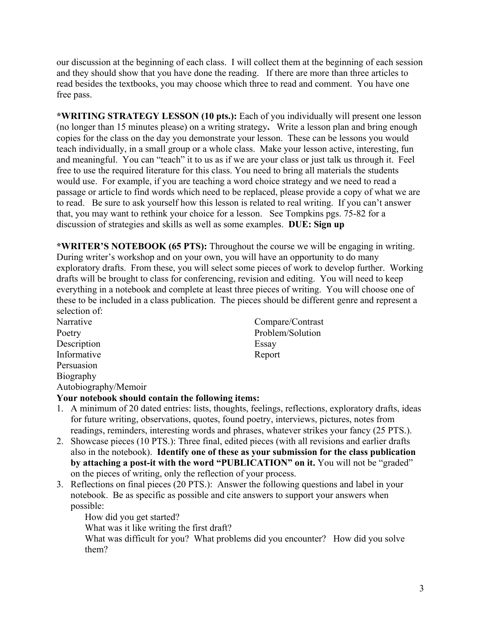our discussion at the beginning of each class. I will collect them at the beginning of each session and they should show that you have done the reading. If there are more than three articles to read besides the textbooks, you may choose which three to read and comment. You have one free pass.

**\*WRITING STRATEGY LESSON (10 pts.):** Each of you individually will present one lesson (no longer than 15 minutes please) on a writing strategy**.** Write a lesson plan and bring enough copies for the class on the day you demonstrate your lesson. These can be lessons you would teach individually, in a small group or a whole class. Make your lesson active, interesting, fun and meaningful. You can "teach" it to us as if we are your class or just talk us through it. Feel free to use the required literature for this class. You need to bring all materials the students would use. For example, if you are teaching a word choice strategy and we need to read a passage or article to find words which need to be replaced, please provide a copy of what we are to read. Be sure to ask yourself how this lesson is related to real writing. If you can't answer that, you may want to rethink your choice for a lesson. See Tompkins pgs. 75-82 for a discussion of strategies and skills as well as some examples. **DUE: Sign up** 

**\*WRITER'S NOTEBOOK (65 PTS):** Throughout the course we will be engaging in writing. During writer's workshop and on your own, you will have an opportunity to do many exploratory drafts. From these, you will select some pieces of work to develop further. Working drafts will be brought to class for conferencing, revision and editing. You will need to keep everything in a notebook and complete at least three pieces of writing. You will choose one of these to be included in a class publication. The pieces should be different genre and represent a selection of:

Description Essay Informative Report Persuasion Biography Autobiography/Memoir

Narrative Compare/Contrast Poetry Problem/Solution

## **Your notebook should contain the following items:**

- 1. A minimum of 20 dated entries: lists, thoughts, feelings, reflections, exploratory drafts, ideas for future writing, observations, quotes, found poetry, interviews, pictures, notes from readings, reminders, interesting words and phrases, whatever strikes your fancy (25 PTS.).
- 2. Showcase pieces (10 PTS.): Three final, edited pieces (with all revisions and earlier drafts also in the notebook). **Identify one of these as your submission for the class publication by attaching a post-it with the word "PUBLICATION" on it.** You will not be "graded" on the pieces of writing, only the reflection of your process.
- 3. Reflections on final pieces (20 PTS.): Answer the following questions and label in your notebook. Be as specific as possible and cite answers to support your answers when possible:

How did you get started?

What was it like writing the first draft?

What was difficult for you? What problems did you encounter? How did you solve them?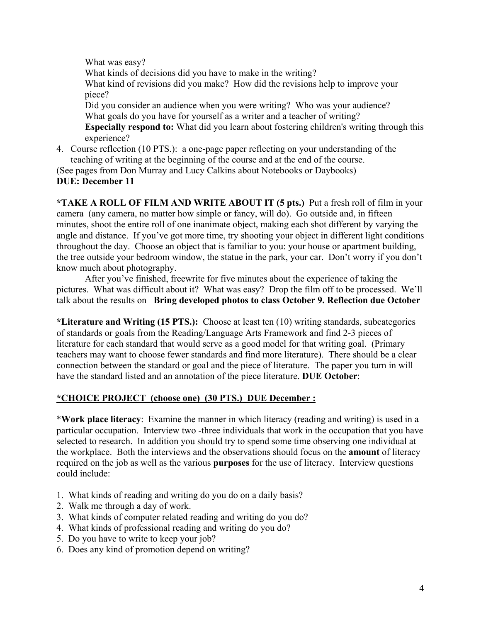What was easy?

What kinds of decisions did you have to make in the writing? What kind of revisions did you make? How did the revisions help to improve your piece? Did you consider an audience when you were writing? Who was your audience? What goals do you have for yourself as a writer and a teacher of writing? **Especially respond to:** What did you learn about fostering children's writing through this experience?

4. Course reflection (10 PTS.): a one-page paper reflecting on your understanding of the teaching of writing at the beginning of the course and at the end of the course.

(See pages from Don Murray and Lucy Calkins about Notebooks or Daybooks) **DUE: December 11** 

**\*TAKE A ROLL OF FILM AND WRITE ABOUT IT (5 pts.)** Put a fresh roll of film in your camera (any camera, no matter how simple or fancy, will do). Go outside and, in fifteen minutes, shoot the entire roll of one inanimate object, making each shot different by varying the angle and distance. If you've got more time, try shooting your object in different light conditions throughout the day. Choose an object that is familiar to you: your house or apartment building, the tree outside your bedroom window, the statue in the park, your car. Don't worry if you don't know much about photography.

After you've finished, freewrite for five minutes about the experience of taking the pictures. What was difficult about it? What was easy? Drop the film off to be processed. We'll talk about the results on **Bring developed photos to class October 9. Reflection due October** 

**\*Literature and Writing (15 PTS.):** Choose at least ten (10) writing standards, subcategories of standards or goals from the Reading/Language Arts Framework and find 2-3 pieces of literature for each standard that would serve as a good model for that writing goal. (Primary teachers may want to choose fewer standards and find more literature). There should be a clear connection between the standard or goal and the piece of literature. The paper you turn in will have the standard listed and an annotation of the piece literature. **DUE October**:

# **\*CHOICE PROJECT (choose one) (30 PTS.) DUE December :**

\***Work place literacy**: Examine the manner in which literacy (reading and writing) is used in a particular occupation. Interview two -three individuals that work in the occupation that you have selected to research. In addition you should try to spend some time observing one individual at the workplace. Both the interviews and the observations should focus on the **amount** of literacy required on the job as well as the various **purposes** for the use of literacy. Interview questions could include:

- 1. What kinds of reading and writing do you do on a daily basis?
- 2. Walk me through a day of work.
- 3. What kinds of computer related reading and writing do you do?
- 4. What kinds of professional reading and writing do you do?
- 5. Do you have to write to keep your job?
- 6. Does any kind of promotion depend on writing?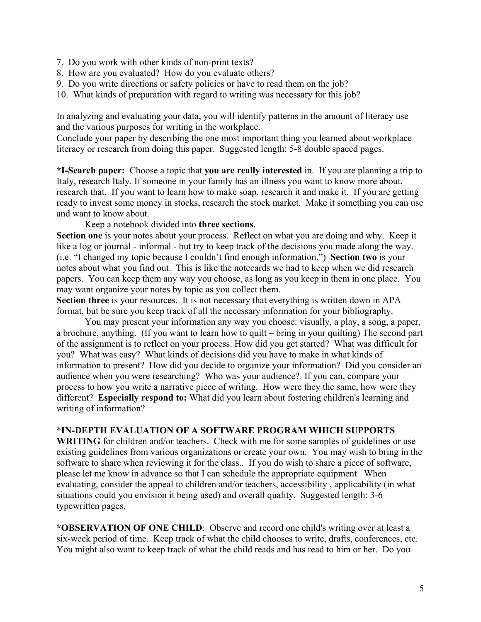- 7. Do you work with other kinds of non-print texts?
- 8. How are you evaluated? How do you evaluate others?
- 9. Do you write directions or safety policies or have to read them on the job?
- 10. What kinds of preparation with regard to writing was necessary for this job?

In analyzing and evaluating your data, you will identify patterns in the amount of literacy use and the various purposes for writing in the workplace.

Conclude your paper by describing the one most important thing you learned about workplace literacy or research from doing this paper. Suggested length: 5-8 double spaced pages.

**\*I-Search paper:** Choose a topic that **you are really interested** in. If you are planning a trip to Italy, research Italy. If someone in your family has an illness you want to know more about, research that. If you want to learn how to make soap, research it and make it. If you are getting ready to invest some money in stocks, research the stock market. Make it something you can use and want to know about.

Keep a notebook divided into **three sections**.

**Section one** is your notes about your process. Reflect on what you are doing and why. Keep it like a log or journal - informal - but try to keep track of the decisions you made along the way. (i.e. "I changed my topic because I couldn't find enough information.") **Section two** is your notes about what you find out. This is like the notecards we had to keep when we did research papers. You can keep them any way you choose, as long as you keep in them in one place. You may want organize your notes by topic as you collect them.

**Section three** is your resources. It is not necessary that everything is written down in APA format, but be sure you keep track of all the necessary information for your bibliography.

 You may present your information any way you choose: visually, a play, a song, a paper, a brochure, anything. (If you want to learn how to quilt – bring in your quilting) The second part of the assignment is to reflect on your process. How did you get started? What was difficult for you? What was easy? What kinds of decisions did you have to make in what kinds of information to present? How did you decide to organize your information? Did you consider an audience when you were researching? Who was your audience? If you can, compare your process to how you write a narrative piece of writing. How were they the same, how were they different? **Especially respond to:** What did you learn about fostering children's learning and writing of information?

## \***IN-DEPTH EVALUATION OF A SOFTWARE PROGRAM WHICH SUPPORTS**

**WRITING** for children and/or teachers. Check with me for some samples of guidelines or use existing guidelines from various organizations or create your own. You may wish to bring in the software to share when reviewing it for the class.. If you do wish to share a piece of software, please let me know in advance so that I can schedule the appropriate equipment. When evaluating, consider the appeal to children and/or teachers, accessibility , applicability (in what situations could you envision it being used) and overall quality. Suggested length: 3-6 typewritten pages.

**\*OBSERVATION OF ONE CHILD**: Observe and record one child's writing over at least a six-week period of time. Keep track of what the child chooses to write, drafts, conferences, etc. You might also want to keep track of what the child reads and has read to him or her. Do you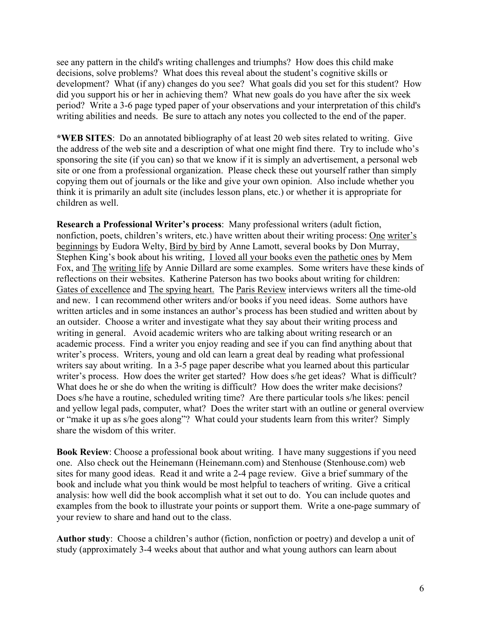see any pattern in the child's writing challenges and triumphs? How does this child make decisions, solve problems? What does this reveal about the student's cognitive skills or development? What (if any) changes do you see? What goals did you set for this student? How did you support his or her in achieving them? What new goals do you have after the six week period? Write a 3-6 page typed paper of your observations and your interpretation of this child's writing abilities and needs. Be sure to attach any notes you collected to the end of the paper.

**\*WEB SITES**: Do an annotated bibliography of at least 20 web sites related to writing. Give the address of the web site and a description of what one might find there. Try to include who's sponsoring the site (if you can) so that we know if it is simply an advertisement, a personal web site or one from a professional organization. Please check these out yourself rather than simply copying them out of journals or the like and give your own opinion. Also include whether you think it is primarily an adult site (includes lesson plans, etc.) or whether it is appropriate for children as well.

**Research a Professional Writer's process**: Many professional writers (adult fiction, nonfiction, poets, children's writers, etc.) have written about their writing process: One writer's beginnings by Eudora Welty, Bird by bird by Anne Lamott, several books by Don Murray. Stephen King's book about his writing, I loved all your books even the pathetic ones by Mem Fox, and The writing life by Annie Dillard are some examples. Some writers have these kinds of reflections on their websites. Katherine Paterson has two books about writing for children: Gates of excellence and The spying heart. The Paris Review interviews writers all the time-old and new. I can recommend other writers and/or books if you need ideas. Some authors have written articles and in some instances an author's process has been studied and written about by an outsider. Choose a writer and investigate what they say about their writing process and writing in general. Avoid academic writers who are talking about writing research or an academic process. Find a writer you enjoy reading and see if you can find anything about that writer's process. Writers, young and old can learn a great deal by reading what professional writers say about writing. In a 3-5 page paper describe what you learned about this particular writer's process. How does the writer get started? How does s/he get ideas? What is difficult? What does he or she do when the writing is difficult? How does the writer make decisions? Does s/he have a routine, scheduled writing time? Are there particular tools s/he likes: pencil and yellow legal pads, computer, what? Does the writer start with an outline or general overview or "make it up as s/he goes along"? What could your students learn from this writer? Simply share the wisdom of this writer.

**Book Review**: Choose a professional book about writing. I have many suggestions if you need one. Also check out the Heinemann (Heinemann.com) and Stenhouse (Stenhouse.com) web sites for many good ideas. Read it and write a 2-4 page review. Give a brief summary of the book and include what you think would be most helpful to teachers of writing. Give a critical analysis: how well did the book accomplish what it set out to do. You can include quotes and examples from the book to illustrate your points or support them. Write a one-page summary of your review to share and hand out to the class.

**Author study**: Choose a children's author (fiction, nonfiction or poetry) and develop a unit of study (approximately 3-4 weeks about that author and what young authors can learn about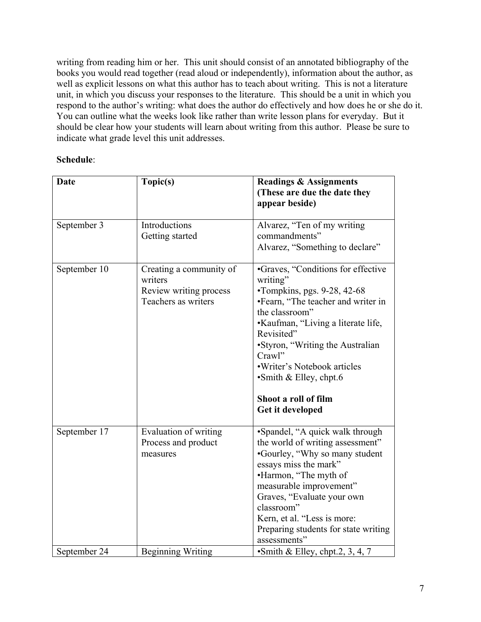writing from reading him or her. This unit should consist of an annotated bibliography of the books you would read together (read aloud or independently), information about the author, as well as explicit lessons on what this author has to teach about writing. This is not a literature unit, in which you discuss your responses to the literature. This should be a unit in which you respond to the author's writing: what does the author do effectively and how does he or she do it. You can outline what the weeks look like rather than write lesson plans for everyday. But it should be clear how your students will learn about writing from this author. Please be sure to indicate what grade level this unit addresses.

## **Schedule**:

| <b>Date</b>  | Topic(s)                                                                            | <b>Readings &amp; Assignments</b><br>(These are due the date they<br>appear beside)                                                                                                                                                                                                                                                                        |
|--------------|-------------------------------------------------------------------------------------|------------------------------------------------------------------------------------------------------------------------------------------------------------------------------------------------------------------------------------------------------------------------------------------------------------------------------------------------------------|
| September 3  | Introductions<br>Getting started                                                    | Alvarez, "Ten of my writing<br>commandments"<br>Alvarez, "Something to declare"                                                                                                                                                                                                                                                                            |
| September 10 | Creating a community of<br>writers<br>Review writing process<br>Teachers as writers | •Graves, "Conditions for effective<br>writing"<br>$\cdot$ Tompkins, pgs. 9-28, 42-68<br>•Fearn, "The teacher and writer in<br>the classroom"<br>•Kaufman, "Living a literate life,<br>Revisited"<br>•Styron, "Writing the Australian<br>Crawl"<br>·Writer's Notebook articles<br>$\cdot$ Smith & Elley, chpt.6<br>Shoot a roll of film<br>Get it developed |
| September 17 | Evaluation of writing<br>Process and product<br>measures                            | •Spandel, "A quick walk through<br>the world of writing assessment"<br>•Gourley, "Why so many student<br>essays miss the mark"<br>•Harmon, "The myth of<br>measurable improvement"<br>Graves, "Evaluate your own<br>classroom"<br>Kern, et al. "Less is more:<br>Preparing students for state writing<br>assessments"                                      |
| September 24 | <b>Beginning Writing</b>                                                            | Smith & Elley, chpt.2, 3, 4, 7                                                                                                                                                                                                                                                                                                                             |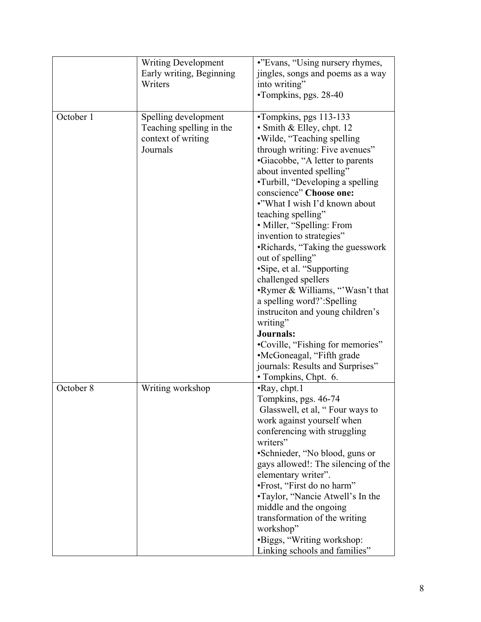|           | <b>Writing Development</b><br>Early writing, Beginning<br>Writers                  | •"Evans, "Using nursery rhymes,<br>jingles, songs and poems as a way<br>into writing"<br>•Tompkins, pgs. 28-40                                                                                                                                                                                                                                                                                                                                                                                                                                                                                                                                                                                                                                   |
|-----------|------------------------------------------------------------------------------------|--------------------------------------------------------------------------------------------------------------------------------------------------------------------------------------------------------------------------------------------------------------------------------------------------------------------------------------------------------------------------------------------------------------------------------------------------------------------------------------------------------------------------------------------------------------------------------------------------------------------------------------------------------------------------------------------------------------------------------------------------|
| October 1 | Spelling development<br>Teaching spelling in the<br>context of writing<br>Journals | •Tompkins, pgs 113-133<br>• Smith & Elley, chpt. 12<br>·Wilde, "Teaching spelling<br>through writing: Five avenues"<br>•Giacobbe, "A letter to parents<br>about invented spelling"<br>•Turbill, "Developing a spelling"<br>conscience" Choose one:<br>•"What I wish I'd known about<br>teaching spelling"<br>• Miller, "Spelling: From<br>invention to strategies"<br>•Richards, "Taking the guesswork<br>out of spelling"<br>•Sipe, et al. "Supporting<br>challenged spellers<br>•Rymer & Williams, "Wasn't that<br>a spelling word?':Spelling<br>instruction and young children's<br>writing"<br><b>Journals:</b><br>•Coville, "Fishing for memories"<br>•McGoneagal, "Fifth grade<br>journals: Results and Surprises"<br>• Tompkins, Chpt. 6. |
| October 8 | Writing workshop                                                                   | $\cdot$ Ray, chpt.1<br>Tompkins, pgs. 46-74<br>Glasswell, et al, "Four ways to<br>work against yourself when<br>conferencing with struggling<br>writers"<br>•Schnieder, "No blood, guns or<br>gays allowed!: The silencing of the<br>elementary writer".<br>•Frost, "First do no harm"<br>•Taylor, "Nancie Atwell's In the<br>middle and the ongoing<br>transformation of the writing<br>workshop"<br>•Biggs, "Writing workshop:<br>Linking schools and families"                                                                                                                                                                                                                                                                                |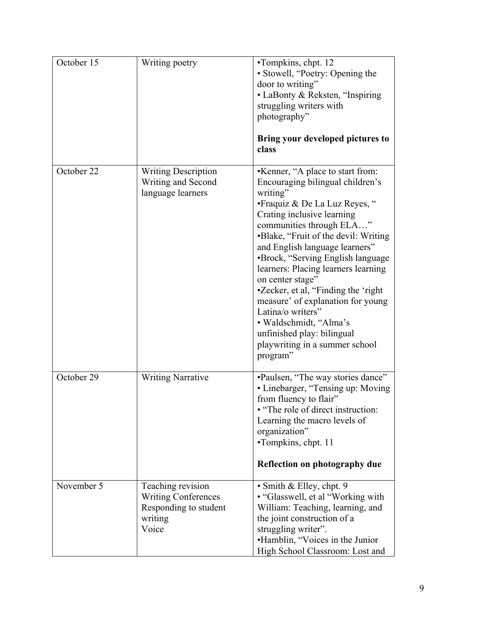| October 15 | Writing poetry                                                                               | •Tompkins, chpt. 12<br>• Stowell, "Poetry: Opening the<br>door to writing"<br>• LaBonty & Reksten, "Inspiring<br>struggling writers with<br>photography"<br>Bring your developed pictures to<br>class                                                                                                                                                                                                                                                                                                                                                         |
|------------|----------------------------------------------------------------------------------------------|---------------------------------------------------------------------------------------------------------------------------------------------------------------------------------------------------------------------------------------------------------------------------------------------------------------------------------------------------------------------------------------------------------------------------------------------------------------------------------------------------------------------------------------------------------------|
| October 22 | <b>Writing Description</b><br>Writing and Second<br>language learners                        | •Kenner, "A place to start from:<br>Encouraging bilingual children's<br>writing"<br>• Fraquiz & De La Luz Reyes, "<br>Crating inclusive learning<br>communities through ELA"<br>•Blake, "Fruit of the devil: Writing<br>and English language learners"<br>•Brock, "Serving English language<br>learners: Placing learners learning<br>on center stage"<br>•Zecker, et al, "Finding the 'right<br>measure' of explanation for young<br>Latina/o writers"<br>· Waldschmidt, "Alma's<br>unfinished play: bilingual<br>playwriting in a summer school<br>program" |
| October 29 | <b>Writing Narrative</b>                                                                     | •Paulsen, "The way stories dance"<br>• Linebarger, "Tensing up: Moving<br>from fluency to flair"<br>• "The role of direct instruction:<br>Learning the macro levels of<br>organization"<br>•Tompkins, chpt. 11<br>Reflection on photography due                                                                                                                                                                                                                                                                                                               |
| November 5 | Teaching revision<br><b>Writing Conferences</b><br>Responding to student<br>writing<br>Voice | • Smith & Elley, chpt. 9<br>• "Glasswell, et al "Working with"<br>William: Teaching, learning, and<br>the joint construction of a<br>struggling writer".<br>•Hamblin, "Voices in the Junior<br>High School Classroom: Lost and                                                                                                                                                                                                                                                                                                                                |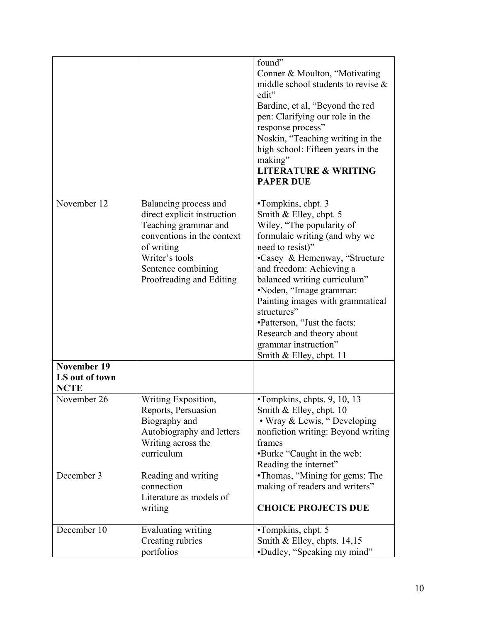|                                                     |                                                                                                                                                                                              | found"<br>Conner & Moulton, "Motivating<br>middle school students to revise $\&$<br>edit"<br>Bardine, et al, "Beyond the red<br>pen: Clarifying our role in the<br>response process"<br>Noskin, "Teaching writing in the<br>high school: Fifteen years in the<br>making"<br><b>LITERATURE &amp; WRITING</b><br><b>PAPER DUE</b>                                                                                           |
|-----------------------------------------------------|----------------------------------------------------------------------------------------------------------------------------------------------------------------------------------------------|---------------------------------------------------------------------------------------------------------------------------------------------------------------------------------------------------------------------------------------------------------------------------------------------------------------------------------------------------------------------------------------------------------------------------|
| November 12                                         | Balancing process and<br>direct explicit instruction<br>Teaching grammar and<br>conventions in the context<br>of writing<br>Writer's tools<br>Sentence combining<br>Proofreading and Editing | •Tompkins, chpt. 3<br>Smith & Elley, chpt. 5<br>Wiley, "The popularity of<br>formulaic writing (and why we<br>need to resist)"<br>•Casey & Hemenway, "Structure<br>and freedom: Achieving a<br>balanced writing curriculum"<br>•Noden, "Image grammar:<br>Painting images with grammatical<br>structures"<br>•Patterson, "Just the facts:<br>Research and theory about<br>grammar instruction"<br>Smith & Elley, chpt. 11 |
| <b>November 19</b><br>LS out of town<br><b>NCTE</b> |                                                                                                                                                                                              |                                                                                                                                                                                                                                                                                                                                                                                                                           |
| November 26                                         | Writing Exposition,<br>Reports, Persuasion<br>Biography and<br>Autobiography and letters<br>Writing across the<br>curriculum                                                                 | •Tompkins, chpts. 9, 10, 13<br>Smith $&$ Elley, chpt. 10<br>• Wray & Lewis, "Developing<br>nonfiction writing: Beyond writing<br>frames<br>•Burke "Caught in the web:<br>Reading the internet"                                                                                                                                                                                                                            |
| December 3                                          | Reading and writing<br>connection<br>Literature as models of<br>writing                                                                                                                      | •Thomas, "Mining for gems: The<br>making of readers and writers"<br><b>CHOICE PROJECTS DUE</b>                                                                                                                                                                                                                                                                                                                            |
| December 10                                         | Evaluating writing<br>Creating rubrics<br>portfolios                                                                                                                                         | •Tompkins, chpt. 5<br>Smith & Elley, chpts. 14,15<br>•Dudley, "Speaking my mind"                                                                                                                                                                                                                                                                                                                                          |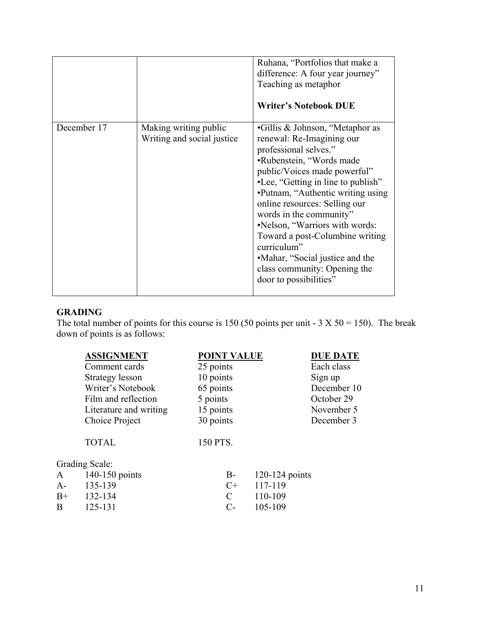|             |                                                      | Ruhana, "Portfolios that make a<br>difference: A four year journey"<br>Teaching as metaphor<br><b>Writer's Notebook DUE</b>                                                                                                                                                                                                                                                                                                                                               |
|-------------|------------------------------------------------------|---------------------------------------------------------------------------------------------------------------------------------------------------------------------------------------------------------------------------------------------------------------------------------------------------------------------------------------------------------------------------------------------------------------------------------------------------------------------------|
| December 17 | Making writing public<br>Writing and social justice. | •Gillis & Johnson, "Metaphor as<br>renewal: Re-Imagining our<br>professional selves."<br>•Rubenstein, "Words made<br>public/Voices made powerful"<br>•Lee, "Getting in line to publish"<br>•Putnam, "Authentic writing using<br>online resources: Selling our<br>words in the community"<br>•Nelson, "Warriors with words:<br>Toward a post-Columbine writing<br>curriculum"<br>•Mahar, "Social justice and the<br>class community: Opening the<br>door to possibilities" |

## **GRADING**

The total number of points for this course is 150 (50 points per unit -  $3 \text{ X } 50 = 150$ ). The break down of points is as follows:

|                | <b>ASSIGNMENT</b>      | <b>POINT VALUE</b> |                  | <b>DUE DATE</b> |
|----------------|------------------------|--------------------|------------------|-----------------|
|                | Comment cards          | 25 points          |                  | Each class      |
|                | Strategy lesson        | 10 points          |                  | Sign up         |
|                | Writer's Notebook      | 65 points          |                  | December 10     |
|                | Film and reflection    | 5 points           |                  | October 29      |
|                | Literature and writing | 15 points          |                  | November 5      |
|                | Choice Project         | 30 points          |                  | December 3      |
|                | <b>TOTAL</b>           | 150 PTS.           |                  |                 |
| Grading Scale: |                        |                    |                  |                 |
| A              | 140-150 points         | $B-$               | $120-124$ points |                 |
| $A-$           | 135-139                | $C+$               | 117-119          |                 |
| $B+$           | 132-134                | C                  | 110-109          |                 |
| B              | 125-131                | $C$ -              | 105-109          |                 |